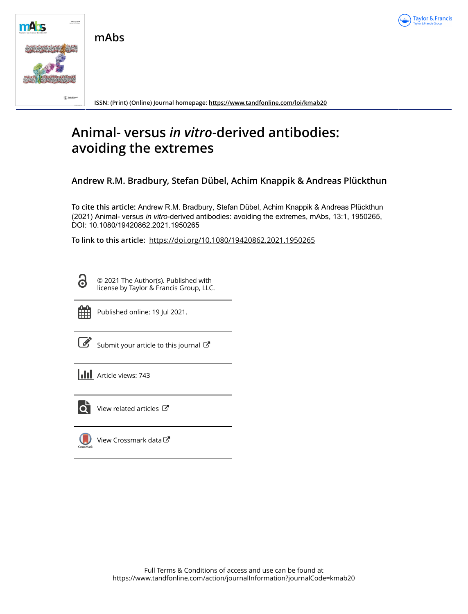

**mAbs**



**ISSN: (Print) (Online) Journal homepage:<https://www.tandfonline.com/loi/kmab20>**

# **Animal- versus** *in vitro***-derived antibodies: avoiding the extremes**

**Andrew R.M. Bradbury, Stefan Dübel, Achim Knappik & Andreas Plückthun**

**To cite this article:** Andrew R.M. Bradbury, Stefan Dübel, Achim Knappik & Andreas Plückthun (2021) Animal- versus *invitro*-derived antibodies: avoiding the extremes, mAbs, 13:1, 1950265, DOI: [10.1080/19420862.2021.1950265](https://www.tandfonline.com/action/showCitFormats?doi=10.1080/19420862.2021.1950265)

**To link to this article:** <https://doi.org/10.1080/19420862.2021.1950265>

Ō

© 2021 The Author(s). Published with license by Taylor & Francis Group, LLC.



Published online: 19 Jul 2021.

|--|

[Submit your article to this journal](https://www.tandfonline.com/action/authorSubmission?journalCode=kmab20&show=instructions)  $\mathbb{Z}$ 

**III** Article views: 743



 $\overline{Q}$  [View related articles](https://www.tandfonline.com/doi/mlt/10.1080/19420862.2021.1950265)  $\overline{C}$ 

 $\bigcup$ [View Crossmark data](http://crossmark.crossref.org/dialog/?doi=10.1080/19420862.2021.1950265&domain=pdf&date_stamp=2021-07-19) $\mathbb{Z}$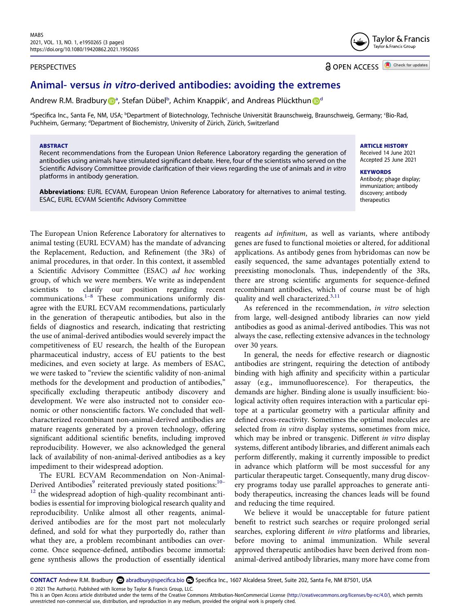# PERSPECTIVES

Taylor & Francis Taylor & Francis Group

**a** OPEN ACCESS **a** Check for updates

**ARTICLE HISTORY**  Received 14 June 2021 Accepted 25 June 2021

Antibody; phage display; immunization; antibody discovery; antibody therapeutics

**KEYWORDS** 

# **Animal- versus** *in vitro***-derived antibodies: avoiding the extremes**

Andrew R.M. Bradbur[y](http://orcid.org/0000-0002-5567-8172) **D**<sup>[a](#page-1-0)</sup>, Stefan Dü[b](#page-1-0)el<sup>b</sup>, A[c](#page-1-0)him K[n](http://orcid.org/0000-0003-4191-5306)appik<sup>c</sup>, an[d](#page-1-1) Andreas Plückthun D<sup>d</sup>

<span id="page-1-1"></span><span id="page-1-0"></span><sup>a</sup>Specifica Inc., Santa Fe, NM, USA; <sup>b</sup>Department of Biotechnology, Technische Universität Braunschweig, Braunschweig, Germany; 'Bio-Rad, Puchheim, Germany; <sup>d</sup>Department of Biochemistry, University of Zürich, Zürich, Switzerland

#### **ABSTRACT**

Recent recommendations from the European Union Reference Laboratory regarding the generation of antibodies using animals have stimulated significant debate. Here, four of the scientists who served on the Scientific Advisory Committee provide clarification of their views regarding the use of animals and *in vitro*  platforms in antibody generation.

**Abbreviations**: EURL ECVAM, European Union Reference Laboratory for alternatives to animal testing. ESAC, EURL ECVAM Scientific Advisory Committee

<span id="page-1-2"></span>The European Union Reference Laboratory for alternatives to animal testing (EURL ECVAM) has the mandate of advancing the Replacement, Reduction, and Refinement (the 3Rs) of animal procedures, in that order. In this context, it assembled a Scientific Advisory Committee (ESAC) *ad hoc* working group, of which we were members. We write as independent scientists to clarify our position regarding recent communications[.1–8](#page-2-0) These communications uniformly disagree with the EURL ECVAM recommendations, particularly in the generation of therapeutic antibodies, but also in the fields of diagnostics and research, indicating that restricting the use of animal-derived antibodies would severely impact the competitiveness of EU research, the health of the European pharmaceutical industry, access of EU patients to the best medicines, and even society at large. As members of ESAC, we were tasked to "review the scientific validity of non-animal methods for the development and production of antibodies," specifically excluding therapeutic antibody discovery and development. We were also instructed not to consider economic or other nonscientific factors. We concluded that wellcharacterized recombinant non-animal-derived antibodies are mature reagents generated by a proven technology, offering significant additional scientific benefits, including improved reproducibility. However, we also acknowledged the general lack of availability of non-animal-derived antibodies as a key impediment to their widespread adoption.

<span id="page-1-4"></span>The EURL ECVAM Recommendation on Non-Animal-Derived Antibodies<sup>9</sup> reiterated previously stated positions:<sup>10-</sup>  $12$  the widespread adoption of high-quality recombinant antibodies is essential for improving biological research quality and reproducibility. Unlike almost all other reagents, animalderived antibodies are for the most part not molecularly defined, and sold for what they purportedly do, rather than what they are, a problem recombinant antibodies can overcome. Once sequence-defined, antibodies become immortal: gene synthesis allows the production of essentially identical

reagents *ad infinitum*, as well as variants, where antibody genes are fused to functional moieties or altered, for additional applications. As antibody genes from hybridomas can now be easily sequenced, the same advantages potentially extend to preexisting monoclonals. Thus, independently of the 3Rs, there are strong scientific arguments for sequence-defined recombinant antibodies, which of course must be of high quality and well characterized.<sup>3,[11](#page-2-4)</sup>

<span id="page-1-3"></span>As referenced in the recommendation, *in vitro* selection from large, well-designed antibody libraries can now yield antibodies as good as animal-derived antibodies. This was not always the case, reflecting extensive advances in the technology over 30 years.

In general, the needs for effective research or diagnostic antibodies are stringent, requiring the detection of antibody binding with high affinity and specificity within a particular assay (e.g., immunofluorescence). For therapeutics, the demands are higher. Binding alone is usually insufficient: biological activity often requires interaction with a particular epitope at a particular geometry with a particular affinity and defined cross-reactivity. Sometimes the optimal molecules are selected from *in vitro* display systems, sometimes from mice, which may be inbred or transgenic. Different *in vitro* display systems, different antibody libraries, and different animals each perform differently, making it currently impossible to predict in advance which platform will be most successful for any particular therapeutic target. Consequently, many drug discovery programs today use parallel approaches to generate antibody therapeutics, increasing the chances leads will be found and reducing the time required.

We believe it would be unacceptable for future patient benefit to restrict such searches or require prolonged serial searches, exploring different *in vitro* platforms and libraries, before moving to animal immunization. While several approved therapeutic antibodies have been derived from nonanimal-derived antibody libraries, many more have come from

© 2021 The Author(s). Published with license by Taylor & Francis Group, LLC.

This is an Open Access article distributed under the terms of the Creative Commons Attribution-NonCommercial License (http://creativecommons.org/licenses/by-nc/4.0/), which permits unrestricted non-commercial use, distribution, and reproduction in any medium, provided the original work is properly cited.

CONTACT Andrew R.M. Bradbury abradbury@specifica.bio Specifica Inc., 1607 Alcaldesa Street, Suite 202, Santa Fe, NM 87501, USA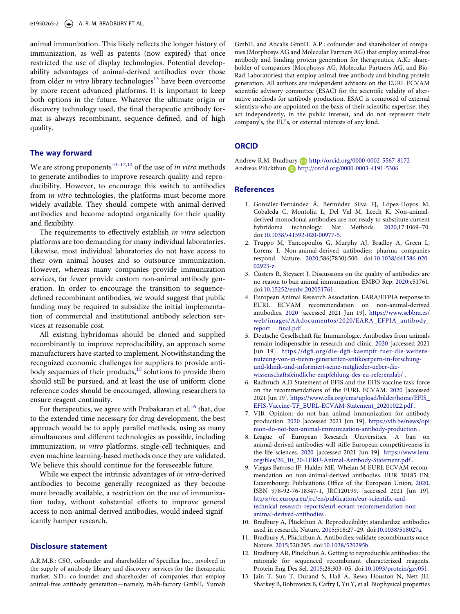e1950265-2  $(\triangle)$  A. R. M. BRADBURY ET AL.

<span id="page-2-6"></span>animal immunization. This likely reflects the longer history of immunization, as well as patents (now expired) that once restricted the use of display technologies. Potential developability advantages of animal-derived antibodies over those from older *in vitro* library technologies<sup>13</sup> have been overcome by more recent advanced platforms. It is important to keep both options in the future. Whatever the ultimate origin or discovery technology used, the final therapeutic antibody format is always recombinant, sequence defined, and of high quality.

# **The way forward**

<span id="page-2-7"></span>We are strong proponents<sup>[10–12](#page-2-2)[,14](#page-3-0)</sup> of the use of *in vitro* methods to generate antibodies to improve research quality and reproducibility. However, to encourage this switch to antibodies from *in vitro* technologies, the platforms must become more widely available. They should compete with animal-derived antibodies and become adopted organically for their quality and flexibility.

The requirements to effectively establish *in vitro* selection platforms are too demanding for many individual laboratories. Likewise, most individual laboratories do not have access to their own animal houses and so outsource immunization. However, whereas many companies provide immunization services, far fewer provide custom non-animal antibody generation. In order to encourage the transition to sequencedefined recombinant antibodies, we would suggest that public funding may be required to subsidize the initial implementation of commercial and institutional antibody selection services at reasonable cost.

<span id="page-2-8"></span>All existing hybridomas should be cloned and supplied recombinantly to improve reproducibility, an approach some manufacturers have started to implement. Notwithstanding the recognized economic challenges for suppliers to provide antibody sequences of their products, $15$  solutions to provide them should still be pursued, and at least the use of uniform clone reference codes should be encouraged, allowing researchers to ensure reagent continuity.

<span id="page-2-9"></span>For therapeutics, we agree with Prabakaran et al.<sup>16</sup> that, due to the extended time necessary for drug development, the best approach would be to apply parallel methods, using as many simultaneous and different technologies as possible, including immunization, *in vitro* platforms, single-cell techniques, and even machine learning-based methods once they are validated. We believe this should continue for the foreseeable future.

While we expect the intrinsic advantages of *in vitro*-derived antibodies to become generally recognized as they become more broadly available, a restriction on the use of immunization today, without substantial efforts to improve general access to non-animal-derived antibodies, would indeed significantly hamper research.

# **Disclosure statement**

A.R.M.B.: CSO, cofounder and shareholder of Specifica Inc., involved in the supply of antibody library and discovery services for the therapeutic market. S.D.: co-founder and shareholder of companies that employ animal-free antibody generation—namely, mAb-factory GmbH, Yumab

GmbH, and Abcalis GmbH. A.P.: cofounder and shareholder of companies (Morphosys AG and Molecular Partners AG) that employ animal-free antibody and binding protein generation for therapeutics. A.K.: shareholder of companies (Morphosys AG, Molecular Partners AG, and Bio-Rad Laboratories) that employ animal-free antibody and binding protein generation. All authors are independent advisors on the EURL ECVAM scientific advisory committee (ESAC) for the scientific validity of alternative methods for antibody production. ESAC is composed of external scientists who are appointed on the basis of their scientific expertise; they act independently, in the public interest, and do not represent their company's, the EU's, or external interests of any kind.

# **ORCID**

Andrew R.M. Bradbury **D** http://orcid.org/0000-0002-5567-8172 Andreas Plückthun **b** http://orcid.org/0000-0003-4191-5306

# **References**

- <span id="page-2-0"></span>1. González-Fernández Á, Bermúdez Silva FJ, López-Hoyos M, Cobaleda C, Montoliu L, Del Val M, Leech K. Non-animalderived monoclonal antibodies are not ready to substitute current hybridoma technology. Nat Methods. [2020](#page-1-2);17:1069–70. doi:[10.1038/s41592-020-00977-5.](https://doi.org/10.1038/s41592-020-00977-5)
- 2. Truppo M, Yancopoulos G, Murphy AJ, Bradley A, Green L, Lorenz I. Non-animal-derived antibodies: pharma companies respond. Nature. 2020;586(7830):500. doi:[10.1038/d41586-020-](https://doi.org/10.1038/d41586-020-02923-z)  [02923-z](https://doi.org/10.1038/d41586-020-02923-z).
- <span id="page-2-3"></span>3. Custers R, Steyaert J. Discussions on the quality of antibodies are no reason to ban animal immunization. EMBO Rep. [2020](#page-1-3):e51761. doi:[10.15252/embr.202051761](https://doi.org/10.15252/embr.202051761).
- 4. European Animal Research Association. EARA/EFPIA response to EURL ECVAM recommendation on non-animal-derived antibodies. 2020 [accessed 2021 Jun 19]. [https://www.sebbm.es/](https://www.sebbm.es/web/images/AAdocumentos/2020/EARA_EFPIA_antibody_report_-_final.pdf) [web/images/AAdocumentos/2020/EARA\\_EFPIA\\_antibody\\_](https://www.sebbm.es/web/images/AAdocumentos/2020/EARA_EFPIA_antibody_report_-_final.pdf) [report\\_-\\_final.pdf](https://www.sebbm.es/web/images/AAdocumentos/2020/EARA_EFPIA_antibody_report_-_final.pdf) .
- 5. Deutsche Gesellschaft für Immunologie. Antibodies from animals remain indispensable in research and clinic. 2020 [accessed 2021 Jun 19]. [https://dgfi.org/die-dgfi-kaempft-fuer-die-weitere](https://dgfi.org/die-dgfi-kaempft-fuer-die-weitere-nutzung-von-in-tieren-generierten-antikoerpern-in-forschung-und-klinik-und-informiert-seine-mitglieder-ueber-die-wissenschaftsfeindliche-empfehlung-des-eu-referenzlab/)[nutzung-von-in-tieren-generierten-antikoerpern-in-forschung](https://dgfi.org/die-dgfi-kaempft-fuer-die-weitere-nutzung-von-in-tieren-generierten-antikoerpern-in-forschung-und-klinik-und-informiert-seine-mitglieder-ueber-die-wissenschaftsfeindliche-empfehlung-des-eu-referenzlab/)[und-klinik-und-informiert-seine-mitglieder-ueber-die](https://dgfi.org/die-dgfi-kaempft-fuer-die-weitere-nutzung-von-in-tieren-generierten-antikoerpern-in-forschung-und-klinik-und-informiert-seine-mitglieder-ueber-die-wissenschaftsfeindliche-empfehlung-des-eu-referenzlab/)[wissenschaftsfeindliche-empfehlung-des-eu-referenzlab/](https://dgfi.org/die-dgfi-kaempft-fuer-die-weitere-nutzung-von-in-tieren-generierten-antikoerpern-in-forschung-und-klinik-und-informiert-seine-mitglieder-ueber-die-wissenschaftsfeindliche-empfehlung-des-eu-referenzlab/) .
- 6. Radbruch A,D Statement of EFIS and the EFIS vaccine task force on the recommendations of the EURL ECVAM. 2020 [accessed 2021 Jun 19]. [https://www.efis.org/cms/upload/bilder/home/EFIS\\_](https://www.efis.org/cms/upload/bilder/home/EFIS_EFIS-Vaccine-TF_EURL-ECVAM-Statement_20201022.pdf)  [EFIS-Vaccine-TF\\_EURL-ECVAM-Statement\\_20201022.pdf](https://www.efis.org/cms/upload/bilder/home/EFIS_EFIS-Vaccine-TF_EURL-ECVAM-Statement_20201022.pdf) .
- 7. VIB. Opinion: do not ban animal immunization for antibody production. 2020 [accessed 2021 Jun 19]. [https://vib.be/news/opi](https://vib.be/news/opinion-do-not-ban-animal-immunization-antibody-production) [nion-do-not-ban-animal-immunization-antibody-production](https://vib.be/news/opinion-do-not-ban-animal-immunization-antibody-production) .
- 8. League of European Research Universities. A ban on animal-derived antibodies will stifle European competitiveness in the life sciences. 2020 [accessed 2021 Jun 19]. [https://www.leru.](https://www.leru.org/files/26_10_20-LERU-Animal-Antibody-Statement.pdf) [org/files/26\\_10\\_20-LERU-Animal-Antibody-Statement.pdf](https://www.leru.org/files/26_10_20-LERU-Animal-Antibody-Statement.pdf) .
- <span id="page-2-1"></span>9. Viegas Barroso JF, Halder ME, Whelan M EURL ECVAM recommendation on non-animal-derived antibodies. EUR 30185 EN, Luxembourg: Publications Office of the European Union; [2020](#page-1-4), ISBN 978-92-76-18347-1, JRC120199. [accessed 2021 Jun 19]. [https://ec.europa.eu/jrc/en/publication/eur-scientific-and](https://ec.europa.eu/jrc/en/publication/eur-scientific-and-technical-research-reports/eurl-ecvam-recommendation-non-animal-derived-antibodies)[technical-research-reports/eurl-ecvam-recommendation-non](https://ec.europa.eu/jrc/en/publication/eur-scientific-and-technical-research-reports/eurl-ecvam-recommendation-non-animal-derived-antibodies)[animal-derived-antibodies](https://ec.europa.eu/jrc/en/publication/eur-scientific-and-technical-research-reports/eurl-ecvam-recommendation-non-animal-derived-antibodies) .
- <span id="page-2-2"></span>10. Bradbury A, Plückthun A. Reproducibility: standardize antibodies used in research. Nature. [2015](#page-1-4);518:27–29. doi:[10.1038/518027a.](https://doi.org/10.1038/518027a)
- <span id="page-2-4"></span>11. Bradbury A, Plückthun A. Antibodies: validate recombinants once. Nature. [2015;](#page-1-3)520:295. doi:[10.1038/520295b.](https://doi.org/10.1038/520295b)
- 12. Bradbury AR, Plückthun A. Getting to reproducible antibodies: the rationale for sequenced recombinant characterized reagents. Protein Eng Des Sel. 2015;28:303–05. doi:[10.1093/protein/gzv051.](https://doi.org/10.1093/protein/gzv051)
- <span id="page-2-5"></span>13. Jain T, Sun T, Durand S, Hall A, Rewa Houston N, Nett JH, Sharkey B, Bobrowicz B, Caffry I, Yu Y, et al. Biophysical properties